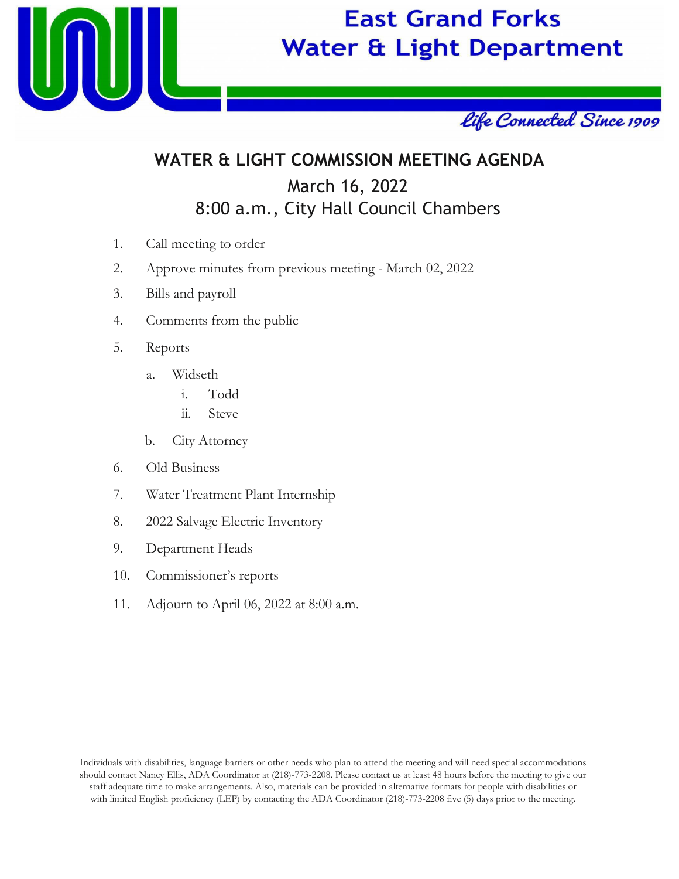

# **East Grand Forks Water & Light Department**



## **WATER & LIGHT COMMISSION MEETING AGENDA** March 16, 2022 8:00 a.m., City Hall Council Chambers

- 1. Call meeting to order
- 2. Approve minutes from previous meeting March 02, 2022
- 3. Bills and payroll
- 4. Comments from the public
- 5. Reports
	- a. Widseth
		- i. Todd
		- ii. Steve
	- b. City Attorney
- 6. Old Business
- 7. Water Treatment Plant Internship
- 8. 2022 Salvage Electric Inventory
- 9. Department Heads
- 10. Commissioner's reports
- 11. Adjourn to April 06, 2022 at 8:00 a.m.

Individuals with disabilities, language barriers or other needs who plan to attend the meeting and will need special accommodations should contact Nancy Ellis, ADA Coordinator at (218)-773-2208. Please contact us at least 48 hours before the meeting to give our staff adequate time to make arrangements. Also, materials can be provided in alternative formats for people with disabilities or with limited English proficiency (LEP) by contacting the ADA Coordinator (218)-773-2208 five (5) days prior to the meeting.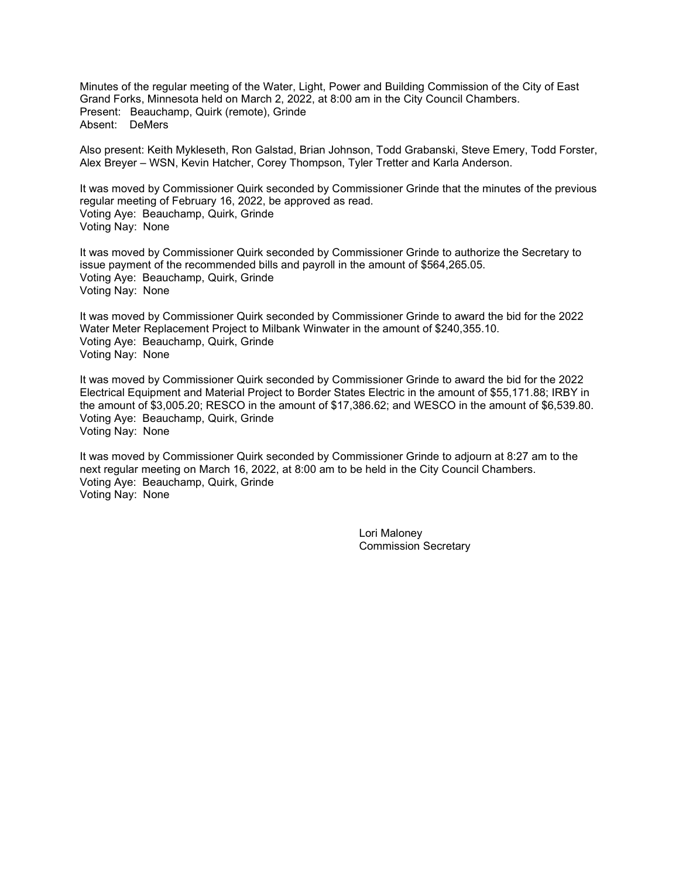Minutes of the regular meeting of the Water, Light, Power and Building Commission of the City of East Grand Forks, Minnesota held on March 2, 2022, at 8:00 am in the City Council Chambers. Present: Beauchamp, Quirk (remote), Grinde Absent: DeMers

Also present: Keith Mykleseth, Ron Galstad, Brian Johnson, Todd Grabanski, Steve Emery, Todd Forster, Alex Breyer – WSN, Kevin Hatcher, Corey Thompson, Tyler Tretter and Karla Anderson.

It was moved by Commissioner Quirk seconded by Commissioner Grinde that the minutes of the previous regular meeting of February 16, 2022, be approved as read. Voting Aye: Beauchamp, Quirk, Grinde Voting Nay: None

It was moved by Commissioner Quirk seconded by Commissioner Grinde to authorize the Secretary to issue payment of the recommended bills and payroll in the amount of \$564,265.05. Voting Aye: Beauchamp, Quirk, Grinde Voting Nay: None

It was moved by Commissioner Quirk seconded by Commissioner Grinde to award the bid for the 2022 Water Meter Replacement Project to Milbank Winwater in the amount of \$240,355.10. Voting Aye: Beauchamp, Quirk, Grinde Voting Nay: None

It was moved by Commissioner Quirk seconded by Commissioner Grinde to award the bid for the 2022 Electrical Equipment and Material Project to Border States Electric in the amount of \$55,171.88; IRBY in the amount of \$3,005.20; RESCO in the amount of \$17,386.62; and WESCO in the amount of \$6,539.80. Voting Aye: Beauchamp, Quirk, Grinde Voting Nay: None

It was moved by Commissioner Quirk seconded by Commissioner Grinde to adjourn at 8:27 am to the next regular meeting on March 16, 2022, at 8:00 am to be held in the City Council Chambers. Voting Aye: Beauchamp, Quirk, Grinde Voting Nay: None

> Lori Maloney Commission Secretary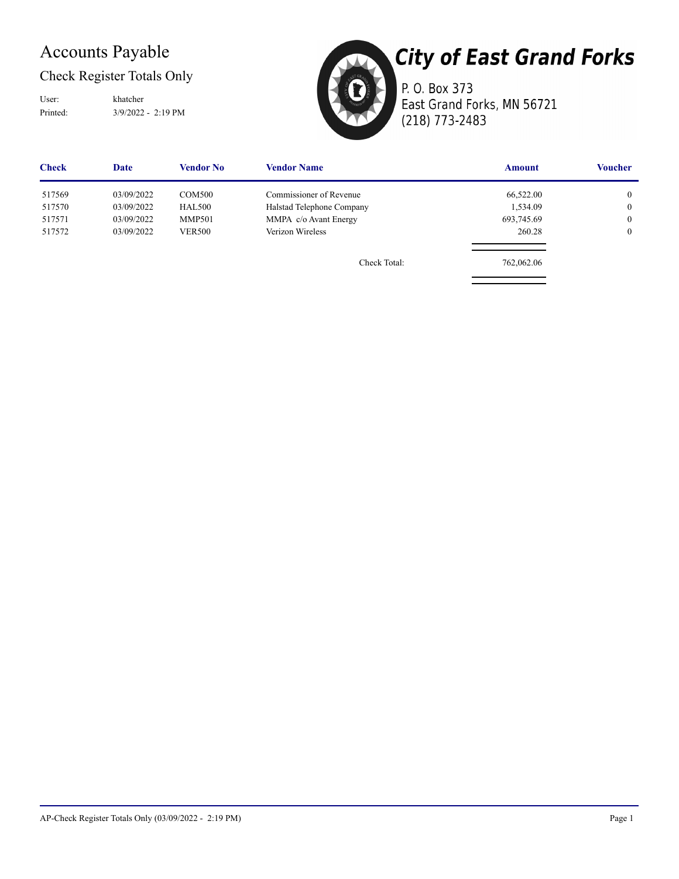### Accounts Payable

Check Register Totals Only

Printed: 3/9/2022 - 2:19 PM User: khatcher



P. O. Box 373 East Grand Forks, MN 56721 (218) 773-2483

| <b>Check</b> | Date       | Vendor No     | <b>Vendor Name</b>        | <b>Amount</b> | <b>Voucher</b> |
|--------------|------------|---------------|---------------------------|---------------|----------------|
| 517569       | 03/09/2022 | COM500        | Commissioner of Revenue   | 66,522.00     | $\overline{0}$ |
| 517570       | 03/09/2022 | HAL500        | Halstad Telephone Company | 1,534.09      | $\mathbf{0}$   |
| 517571       | 03/09/2022 | <b>MMP501</b> | MMPA c/o Avant Energy     | 693,745.69    | $\mathbf{0}$   |
| 517572       | 03/09/2022 | <b>VER500</b> | Verizon Wireless          | 260.28        | $\overline{0}$ |
|              |            |               | Check Total:              | 762,062.06    |                |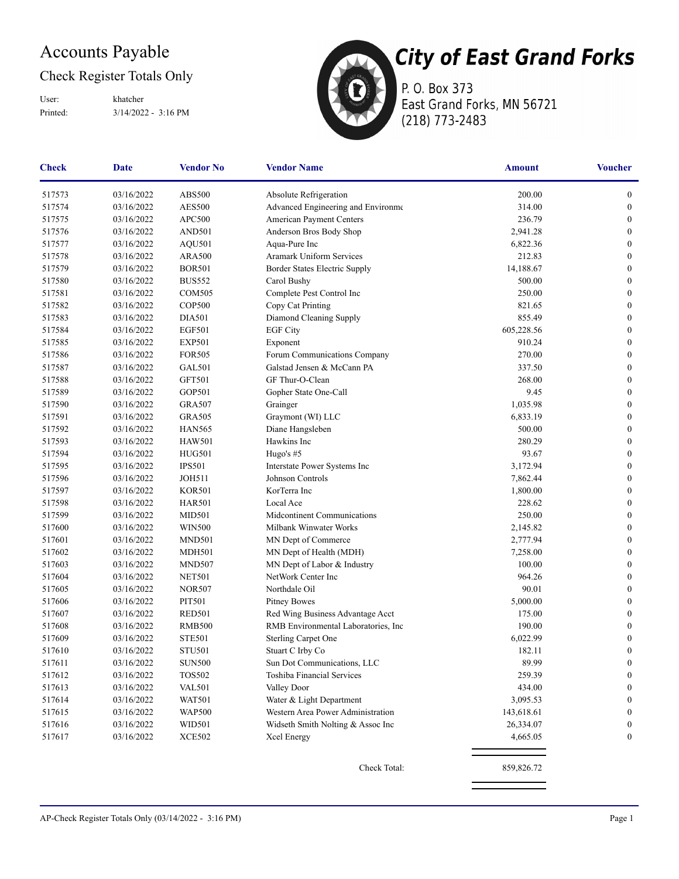### Accounts Payable

### Check Register Totals Only

Printed: 3/14/2022 - 3:16 PM User: khatcher



P. O. Box 373 East Grand Forks, MN 56721 (218) 773-2483

| <b>Check</b> | Date       | <b>Vendor No</b> | <b>Vendor Name</b>                   | Amount     | <b>Voucher</b>   |
|--------------|------------|------------------|--------------------------------------|------------|------------------|
| 517573       | 03/16/2022 | ABS500           | Absolute Refrigeration               | 200.00     | $\boldsymbol{0}$ |
| 517574       | 03/16/2022 | <b>AES500</b>    | Advanced Engineering and Environme   | 314.00     | $\boldsymbol{0}$ |
| 517575       | 03/16/2022 | APC500           | American Payment Centers             | 236.79     | $\boldsymbol{0}$ |
| 517576       | 03/16/2022 | AND501           | Anderson Bros Body Shop              | 2,941.28   | $\boldsymbol{0}$ |
| 517577       | 03/16/2022 | AQU501           | Aqua-Pure Inc                        | 6,822.36   | $\boldsymbol{0}$ |
| 517578       | 03/16/2022 | <b>ARA500</b>    | <b>Aramark Uniform Services</b>      | 212.83     | $\boldsymbol{0}$ |
| 517579       | 03/16/2022 | <b>BOR501</b>    | Border States Electric Supply        | 14,188.67  | $\boldsymbol{0}$ |
| 517580       | 03/16/2022 | <b>BUS552</b>    | Carol Bushy                          | 500.00     | $\boldsymbol{0}$ |
| 517581       | 03/16/2022 | <b>COM505</b>    | Complete Pest Control Inc            | 250.00     | $\boldsymbol{0}$ |
| 517582       | 03/16/2022 | <b>COP500</b>    | Copy Cat Printing                    | 821.65     | $\boldsymbol{0}$ |
| 517583       | 03/16/2022 | <b>DIA501</b>    | Diamond Cleaning Supply              | 855.49     | $\boldsymbol{0}$ |
| 517584       | 03/16/2022 | <b>EGF501</b>    | <b>EGF City</b>                      | 605,228.56 | $\boldsymbol{0}$ |
| 517585       | 03/16/2022 | <b>EXP501</b>    | Exponent                             | 910.24     | $\boldsymbol{0}$ |
| 517586       | 03/16/2022 | <b>FOR505</b>    | Forum Communications Company         | 270.00     | $\boldsymbol{0}$ |
| 517587       | 03/16/2022 | <b>GAL501</b>    | Galstad Jensen & McCann PA           | 337.50     | $\boldsymbol{0}$ |
| 517588       | 03/16/2022 | <b>GFT501</b>    | GF Thur-O-Clean                      | 268.00     | $\boldsymbol{0}$ |
| 517589       | 03/16/2022 | GOP501           | Gopher State One-Call                | 9.45       | $\boldsymbol{0}$ |
| 517590       | 03/16/2022 | <b>GRA507</b>    | Grainger                             | 1,035.98   | $\boldsymbol{0}$ |
| 517591       | 03/16/2022 | <b>GRA505</b>    | Graymont (WI) LLC                    | 6,833.19   | $\boldsymbol{0}$ |
| 517592       | 03/16/2022 | <b>HAN565</b>    | Diane Hangsleben                     | 500.00     | $\boldsymbol{0}$ |
| 517593       | 03/16/2022 | <b>HAW501</b>    | Hawkins Inc                          | 280.29     | $\boldsymbol{0}$ |
| 517594       | 03/16/2022 | HUG501           | Hugo's #5                            | 93.67      | $\boldsymbol{0}$ |
| 517595       | 03/16/2022 | <b>IPS501</b>    | Interstate Power Systems Inc         | 3,172.94   | $\boldsymbol{0}$ |
| 517596       | 03/16/2022 | <b>JOH511</b>    | Johnson Controls                     | 7,862.44   | $\boldsymbol{0}$ |
| 517597       | 03/16/2022 | <b>KOR501</b>    | KorTerra Inc                         | 1,800.00   | $\boldsymbol{0}$ |
| 517598       | 03/16/2022 | <b>HAR501</b>    | Local Ace                            | 228.62     | $\boldsymbol{0}$ |
| 517599       | 03/16/2022 | <b>MID501</b>    | Midcontinent Communications          | 250.00     | $\boldsymbol{0}$ |
| 517600       | 03/16/2022 | <b>WIN500</b>    | Milbank Winwater Works               | 2,145.82   | $\boldsymbol{0}$ |
| 517601       | 03/16/2022 | <b>MND501</b>    | MN Dept of Commerce                  | 2,777.94   | $\boldsymbol{0}$ |
| 517602       | 03/16/2022 | <b>MDH501</b>    | MN Dept of Health (MDH)              | 7,258.00   | $\boldsymbol{0}$ |
| 517603       | 03/16/2022 | <b>MND507</b>    | MN Dept of Labor & Industry          | 100.00     | $\boldsymbol{0}$ |
| 517604       | 03/16/2022 | <b>NET501</b>    | NetWork Center Inc                   | 964.26     | $\boldsymbol{0}$ |
| 517605       | 03/16/2022 | <b>NOR507</b>    | Northdale Oil                        | 90.01      | $\boldsymbol{0}$ |
| 517606       | 03/16/2022 | PIT501           | Pitney Bowes                         | 5,000.00   | $\boldsymbol{0}$ |
| 517607       | 03/16/2022 | <b>RED501</b>    | Red Wing Business Advantage Acct     | 175.00     | $\boldsymbol{0}$ |
| 517608       | 03/16/2022 | <b>RMB500</b>    | RMB Environmental Laboratories, Inc. | 190.00     | $\boldsymbol{0}$ |
| 517609       | 03/16/2022 | <b>STE501</b>    | Sterling Carpet One                  | 6,022.99   | $\boldsymbol{0}$ |
| 517610       | 03/16/2022 | <b>STU501</b>    | Stuart C Irby Co                     | 182.11     | $\boldsymbol{0}$ |
| 517611       | 03/16/2022 | <b>SUN500</b>    | Sun Dot Communications, LLC          | 89.99      | $\boldsymbol{0}$ |
| 517612       | 03/16/2022 | <b>TOS502</b>    | Toshiba Financial Services           | 259.39     | $\boldsymbol{0}$ |
| 517613       | 03/16/2022 | <b>VAL501</b>    | Valley Door                          | 434.00     | $\boldsymbol{0}$ |
| 517614       | 03/16/2022 | <b>WAT501</b>    | Water & Light Department             | 3,095.53   | $\boldsymbol{0}$ |
| 517615       | 03/16/2022 | <b>WAP500</b>    | Western Area Power Administration    | 143,618.61 | $\boldsymbol{0}$ |
| 517616       | 03/16/2022 | WID501           | Widseth Smith Nolting & Assoc Inc    | 26,334.07  | 0                |
| 517617       | 03/16/2022 | <b>XCE502</b>    | Xcel Energy                          | 4,665.05   | $\mathbf{0}$     |
|              |            |                  | Check Total:                         | 859,826.72 |                  |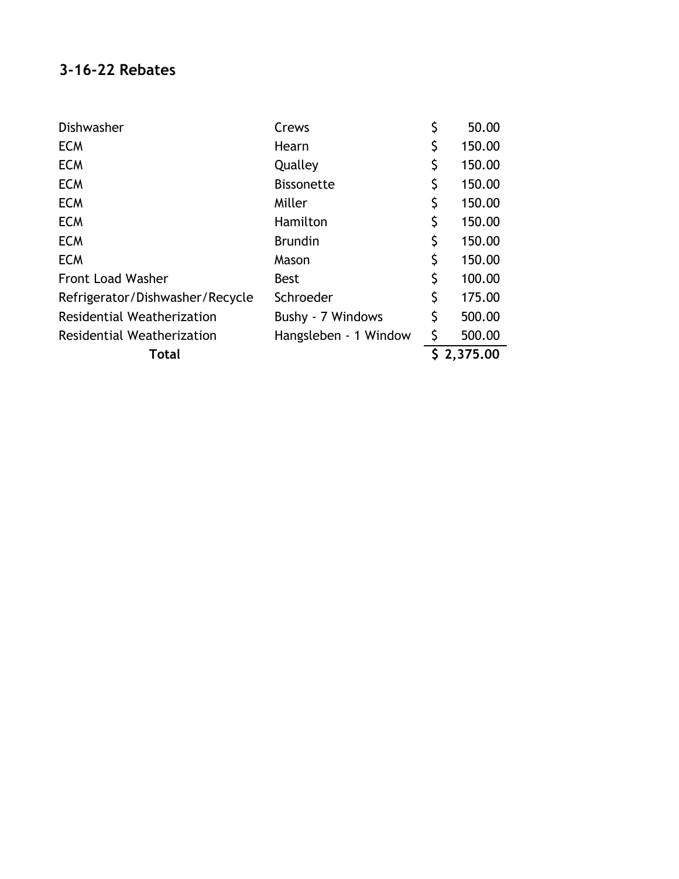### **3-16-22 Rebates**

| Dishwasher                      | Crews                 | \$ | 50.00      |
|---------------------------------|-----------------------|----|------------|
| <b>ECM</b>                      | Hearn                 | \$ | 150.00     |
| <b>ECM</b>                      | Qualley               | \$ | 150.00     |
| <b>ECM</b>                      | <b>Bissonette</b>     | Ş  | 150.00     |
| <b>ECM</b>                      | Miller                | Ş  | 150.00     |
| <b>ECM</b>                      | Hamilton              | \$ | 150.00     |
| <b>ECM</b>                      | <b>Brundin</b>        | \$ | 150.00     |
| <b>ECM</b>                      | Mason                 | \$ | 150.00     |
| Front Load Washer               | <b>Best</b>           | \$ | 100.00     |
| Refrigerator/Dishwasher/Recycle | Schroeder             | \$ | 175.00     |
| Residential Weatherization      | Bushy - 7 Windows     | \$ | 500.00     |
| Residential Weatherization      | Hangsleben - 1 Window | \$ | 500.00     |
| Total                           |                       |    | \$2,375.00 |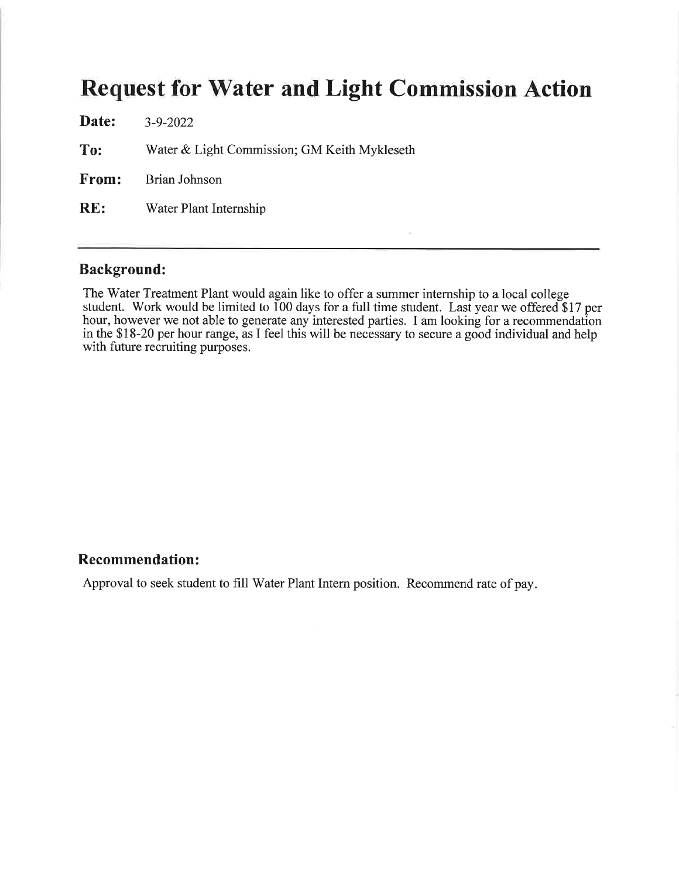## **Request for Water and Light Commission Action**

| Date: | $3 - 9 - 2022$                               |
|-------|----------------------------------------------|
| To:   | Water & Light Commission; GM Keith Mykleseth |
|       | <b>From:</b> Brian Johnson                   |
| RE:   | Water Plant Internship                       |
|       |                                              |

### **Background:**

The Water Treatment Plant would again like to offer a summer internship to a local college student. Work would be limited to 100 days for a full time student. Last year we offered \$17 per hour, however we not able to generate any interested parties. I am looking for a recommendation in the \$18-20 per hour range, as I feel this will be necessary to secure a good individual and help with future recruiting purposes.

#### **Recommendation:**

Approval to seek student to fill Water Plant Intern position. Recommend rate of pay.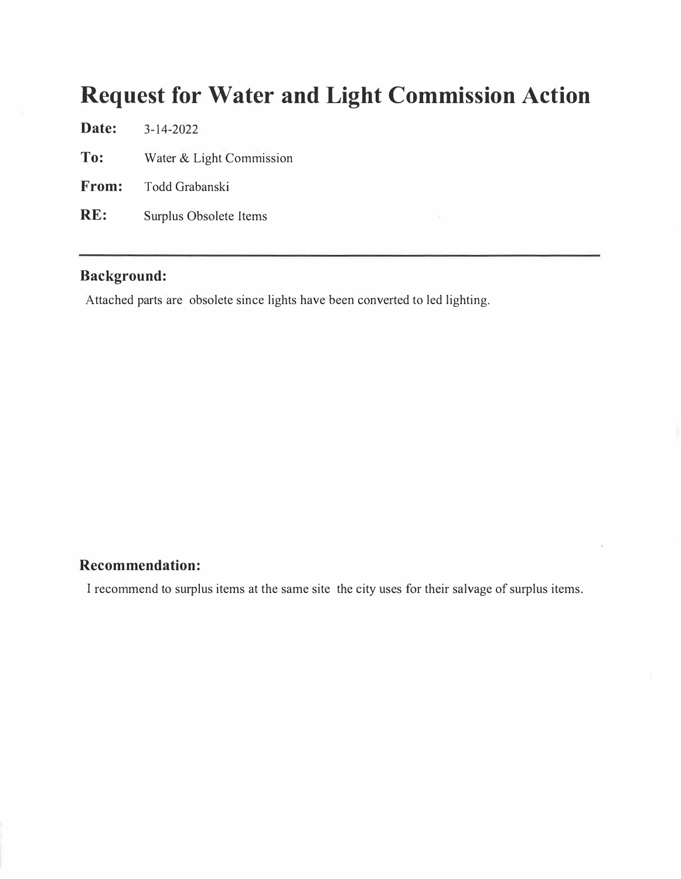## **Request for Water and Light Commission Action**

**Date: To: From: RE:**  3-14-2022 Water & Light Commission Todd Grabanski Surplus Obsolete Items

### **Background:**

Attached parts are obsolete since lights have been converted to led lighting.

#### **Recommendation:**

I recommend to surplus items at the same site the city uses for their salvage of surplus items.